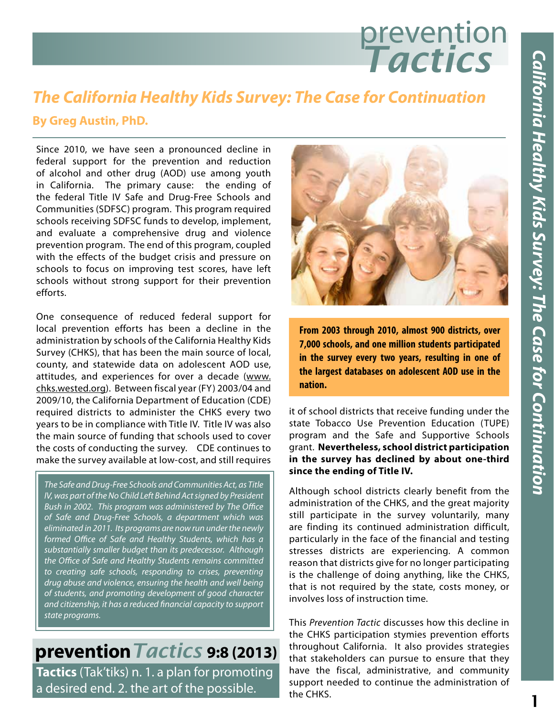# prevention *Tactics*

### *The California Healthy Kids Survey: The Case for Continuation*

#### **By Greg Austin, PhD.**

Since 2010, we have seen a pronounced decline in federal support for the prevention and reduction of alcohol and other drug (AOD) use among youth in California. The primary cause: the ending of the federal Title IV Safe and Drug-Free Schools and Communities (SDFSC) program. This program required schools receiving SDFSC funds to develop, implement, and evaluate a comprehensive drug and violence prevention program. The end of this program, coupled with the effects of the budget crisis and pressure on schools to focus on improving test scores, have left schools without strong support for their prevention efforts.

One consequence of reduced federal support for local prevention efforts has been a decline in the administration by schools of the California Healthy Kids Survey (CHKS), that has been the main source of local, county, and statewide data on adolescent AOD use, attitudes, and experiences for over a decade (www. chks.wested.org). Between fiscal year (FY) 2003/04 and 2009/10, the California Department of Education (CDE) required districts to administer the CHKS every two years to be in compliance with Title IV. Title IV was also the main source of funding that schools used to cover the costs of conducting the survey. CDE continues to make the survey available at low-cost, and still requires

*The Safe and Drug-Free Schools and Communities Act, as Title IV, was part of the No Child Left Behind Act signed by President Bush in 2002. This program was administered by The Office of Safe and Drug-Free Schools, a department which was eliminated in 2011. Its programs are now run under the newly formed Office of Safe and Healthy Students, which has a substantially smaller budget than its predecessor. Although the Office of Safe and Healthy Students remains committed to creating safe schools, responding to crises, preventing drug abuse and violence, ensuring the health and well being of students, and promoting development of good character and citizenship, it has a reduced financial capacity to support state programs.*

**prevention***Tactics* **9:8 (2013) Tactics** (Tak'tiks) n. 1. a plan for promoting a desired end. 2. the art of the possible.



**From 2003 through 2010, almost 900 districts, over 7,000 schools, and one million students participated in the survey every two years, resulting in one of the largest databases on adolescent AOD use in the nation.**

it of school districts that receive funding under the state Tobacco Use Prevention Education (TUPE) program and the Safe and Supportive Schools grant. **Nevertheless, school district participation in the survey has declined by about one-third since the ending of Title IV.**

Although school districts clearly benefit from the administration of the CHKS, and the great majority still participate in the survey voluntarily, many are finding its continued administration difficult, particularly in the face of the financial and testing stresses districts are experiencing. A common reason that districts give for no longer participating is the challenge of doing anything, like the CHKS, that is not required by the state, costs money, or involves loss of instruction time.

This *Prevention Tactic* discusses how this decline in the CHKS participation stymies prevention efforts throughout California. It also provides strategies that stakeholders can pursue to ensure that they have the fiscal, administrative, and community support needed to continue the administration of the CHKS.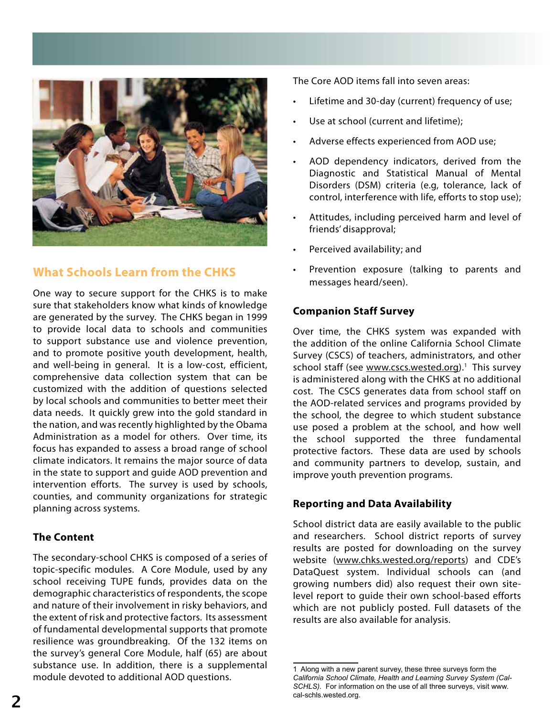

#### **What Schools Learn from the CHKS**

One way to secure support for the CHKS is to make sure that stakeholders know what kinds of knowledge are generated by the survey. The CHKS began in 1999 to provide local data to schools and communities to support substance use and violence prevention, and to promote positive youth development, health, and well-being in general. It is a low-cost, efficient, comprehensive data collection system that can be customized with the addition of questions selected by local schools and communities to better meet their data needs. It quickly grew into the gold standard in the nation, and was recently highlighted by the Obama Administration as a model for others. Over time, its focus has expanded to assess a broad range of school climate indicators. It remains the major source of data in the state to support and guide AOD prevention and intervention efforts. The survey is used by schools, counties, and community organizations for strategic planning across systems.

#### **The Content**

The secondary-school CHKS is composed of a series of topic-specific modules. A Core Module, used by any school receiving TUPE funds, provides data on the demographic characteristics of respondents, the scope and nature of their involvement in risky behaviors, and the extent of risk and protective factors. Its assessment of fundamental developmental supports that promote resilience was groundbreaking. Of the 132 items on the survey's general Core Module, half (65) are about substance use. In addition, there is a supplemental module devoted to additional AOD questions.

The Core AOD items fall into seven areas:

- Lifetime and 30-day (current) frequency of use;
- Use at school (current and lifetime);
- Adverse effects experienced from AOD use;
- AOD dependency indicators, derived from the Diagnostic and Statistical Manual of Mental Disorders (DSM) criteria (e.g, tolerance, lack of control, interference with life, efforts to stop use);
- Attitudes, including perceived harm and level of friends' disapproval;
- Perceived availability; and
- Prevention exposure (talking to parents and messages heard/seen).

#### **Companion Staff Survey**

Over time, the CHKS system was expanded with the addition of the online California School Climate Survey (CSCS) of teachers, administrators, and other school staff (see www.cscs.wested.org).<sup>1</sup> This survey is administered along with the CHKS at no additional cost. The CSCS generates data from school staff on the AOD-related services and programs provided by the school, the degree to which student substance use posed a problem at the school, and how well the school supported the three fundamental protective factors. These data are used by schools and community partners to develop, sustain, and improve youth prevention programs.

#### **Reporting and Data Availability**

School district data are easily available to the public and researchers. School district reports of survey results are posted for downloading on the survey website (www.chks.wested.org/reports) and CDE's DataQuest system. Individual schools can (and growing numbers did) also request their own sitelevel report to guide their own school-based efforts which are not publicly posted. Full datasets of the results are also available for analysis.

<sup>1</sup> Along with a new parent survey, these three surveys form the *California School Climate, Health and Learning Survey System (Cal-SCHLS)*. For information on the use of all three surveys, visit www. cal-schls.wested.org.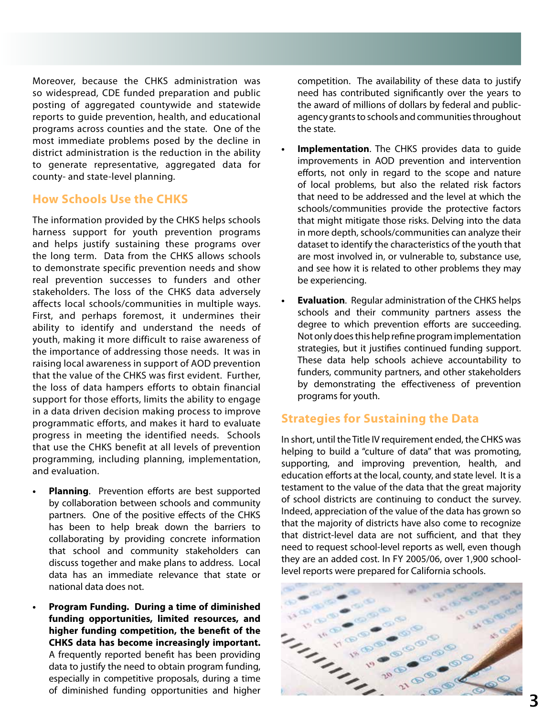Moreover, because the CHKS administration was so widespread, CDE funded preparation and public posting of aggregated countywide and statewide reports to guide prevention, health, and educational programs across counties and the state. One of the most immediate problems posed by the decline in district administration is the reduction in the ability to generate representative, aggregated data for county- and state-level planning.

#### **How Schools Use the CHKS**

The information provided by the CHKS helps schools harness support for youth prevention programs and helps justify sustaining these programs over the long term. Data from the CHKS allows schools to demonstrate specific prevention needs and show real prevention successes to funders and other stakeholders. The loss of the CHKS data adversely affects local schools/communities in multiple ways. First, and perhaps foremost, it undermines their ability to identify and understand the needs of youth, making it more difficult to raise awareness of the importance of addressing those needs. It was in raising local awareness in support of AOD prevention that the value of the CHKS was first evident. Further, the loss of data hampers efforts to obtain financial support for those efforts, limits the ability to engage in a data driven decision making process to improve programmatic efforts, and makes it hard to evaluate progress in meeting the identified needs. Schools that use the CHKS benefit at all levels of prevention programming, including planning, implementation, and evaluation.

- **• Planning**. Prevention efforts are best supported by collaboration between schools and community partners. One of the positive effects of the CHKS has been to help break down the barriers to collaborating by providing concrete information that school and community stakeholders can discuss together and make plans to address. Local data has an immediate relevance that state or national data does not.
- **• Program Funding. During a time of diminished funding opportunities, limited resources, and higher funding competition, the benefit of the CHKS data has become increasingly important.** A frequently reported benefit has been providing data to justify the need to obtain program funding, especially in competitive proposals, during a time of diminished funding opportunities and higher

competition. The availability of these data to justify need has contributed significantly over the years to the award of millions of dollars by federal and publicagency grants to schools and communities throughout the state.

- **• Implementation**. The CHKS provides data to guide improvements in AOD prevention and intervention efforts, not only in regard to the scope and nature of local problems, but also the related risk factors that need to be addressed and the level at which the schools/communities provide the protective factors that might mitigate those risks. Delving into the data in more depth, schools/communities can analyze their dataset to identify the characteristics of the youth that are most involved in, or vulnerable to, substance use, and see how it is related to other problems they may be experiencing.
- **• Evaluation**. Regular administration of the CHKS helps schools and their community partners assess the degree to which prevention efforts are succeeding. Not only does this help refine program implementation strategies, but it justifies continued funding support. These data help schools achieve accountability to funders, community partners, and other stakeholders by demonstrating the effectiveness of prevention programs for youth.

#### **Strategies for Sustaining the Data**

In short, until the Title IV requirement ended, the CHKS was helping to build a "culture of data" that was promoting, supporting, and improving prevention, health, and education efforts at the local, county, and state level. It is a testament to the value of the data that the great majority of school districts are continuing to conduct the survey. Indeed, appreciation of the value of the data has grown so that the majority of districts have also come to recognize that district-level data are not sufficient, and that they need to request school-level reports as well, even though they are an added cost. In FY 2005/06, over 1,900 schoollevel reports were prepared for California schools.

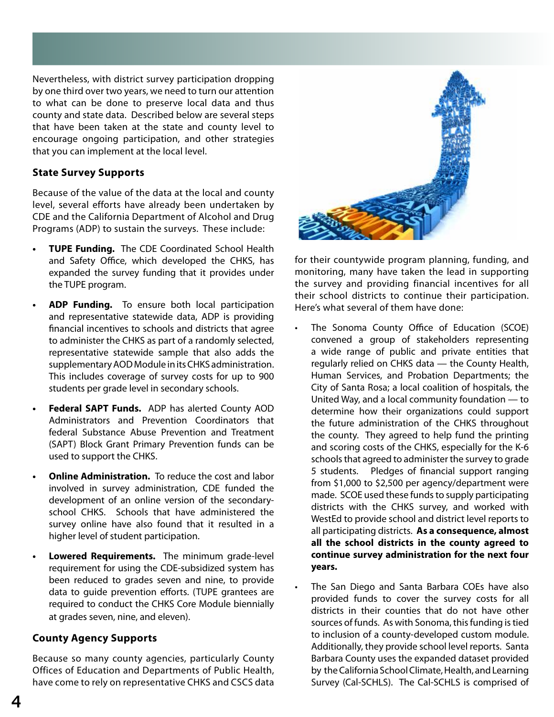Nevertheless, with district survey participation dropping by one third over two years, we need to turn our attention to what can be done to preserve local data and thus county and state data. Described below are several steps that have been taken at the state and county level to encourage ongoing participation, and other strategies that you can implement at the local level.

#### **State Survey Supports**

Because of the value of the data at the local and county level, several efforts have already been undertaken by CDE and the California Department of Alcohol and Drug Programs (ADP) to sustain the surveys. These include:

- **• TUPE Funding.** The CDE Coordinated School Health and Safety Office, which developed the CHKS, has expanded the survey funding that it provides under the TUPE program.
- **• ADP Funding.** To ensure both local participation and representative statewide data, ADP is providing financial incentives to schools and districts that agree to administer the CHKS as part of a randomly selected, representative statewide sample that also adds the supplementary AOD Module in its CHKS administration. This includes coverage of survey costs for up to 900 students per grade level in secondary schools.
- **• Federal SAPT Funds.** ADP has alerted County AOD Administrators and Prevention Coordinators that federal Substance Abuse Prevention and Treatment (SAPT) Block Grant Primary Prevention funds can be used to support the CHKS.
- **Online Administration.** To reduce the cost and labor involved in survey administration, CDE funded the development of an online version of the secondaryschool CHKS. Schools that have administered the survey online have also found that it resulted in a higher level of student participation.
- **• Lowered Requirements.** The minimum grade-level requirement for using the CDE-subsidized system has been reduced to grades seven and nine, to provide data to guide prevention efforts. (TUPE grantees are required to conduct the CHKS Core Module biennially at grades seven, nine, and eleven).

#### **County Agency Supports**

Because so many county agencies, particularly County Offices of Education and Departments of Public Health, have come to rely on representative CHKS and CSCS data



for their countywide program planning, funding, and monitoring, many have taken the lead in supporting the survey and providing financial incentives for all their school districts to continue their participation. Here's what several of them have done:

- The Sonoma County Office of Education (SCOE) convened a group of stakeholders representing a wide range of public and private entities that regularly relied on CHKS data — the County Health, Human Services, and Probation Departments; the City of Santa Rosa; a local coalition of hospitals, the United Way, and a local community foundation — to determine how their organizations could support the future administration of the CHKS throughout the county. They agreed to help fund the printing and scoring costs of the CHKS, especially for the K-6 schools that agreed to administer the survey to grade 5 students. Pledges of financial support ranging from \$1,000 to \$2,500 per agency/department were made. SCOE used these funds to supply participating districts with the CHKS survey, and worked with WestEd to provide school and district level reports to all participating districts. **As a consequence, almost all the school districts in the county agreed to continue survey administration for the next four years.**
- The San Diego and Santa Barbara COEs have also provided funds to cover the survey costs for all districts in their counties that do not have other sources of funds. As with Sonoma, this funding is tied to inclusion of a county-developed custom module. Additionally, they provide school level reports. Santa Barbara County uses the expanded dataset provided by the California School Climate, Health, and Learning Survey (Cal-SCHLS). The Cal-SCHLS is comprised of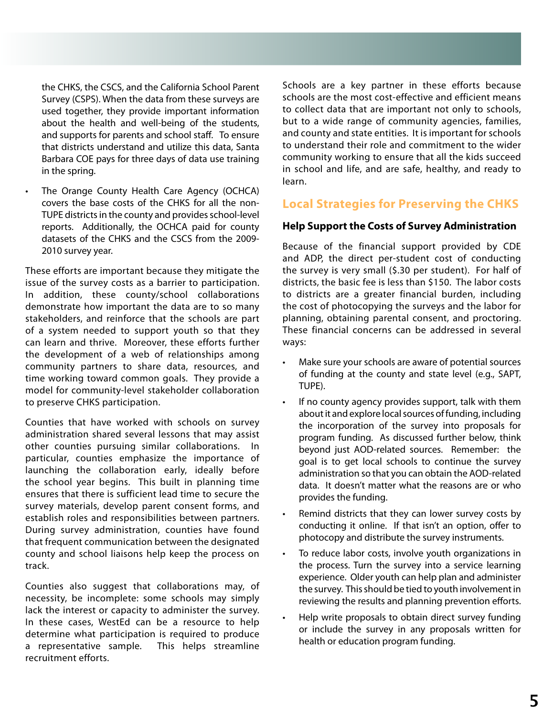the CHKS, the CSCS, and the California School Parent Survey (CSPS). When the data from these surveys are used together, they provide important information about the health and well-being of the students, and supports for parents and school staff. To ensure that districts understand and utilize this data, Santa Barbara COE pays for three days of data use training in the spring.

The Orange County Health Care Agency (OCHCA) covers the base costs of the CHKS for all the non-TUPE districts in the county and provides school-level reports. Additionally, the OCHCA paid for county datasets of the CHKS and the CSCS from the 2009- 2010 survey year.

These efforts are important because they mitigate the issue of the survey costs as a barrier to participation. In addition, these county/school collaborations demonstrate how important the data are to so many stakeholders, and reinforce that the schools are part of a system needed to support youth so that they can learn and thrive. Moreover, these efforts further the development of a web of relationships among community partners to share data, resources, and time working toward common goals. They provide a model for community-level stakeholder collaboration to preserve CHKS participation.

Counties that have worked with schools on survey administration shared several lessons that may assist other counties pursuing similar collaborations. In particular, counties emphasize the importance of launching the collaboration early, ideally before the school year begins. This built in planning time ensures that there is sufficient lead time to secure the survey materials, develop parent consent forms, and establish roles and responsibilities between partners. During survey administration, counties have found that frequent communication between the designated county and school liaisons help keep the process on track.

Counties also suggest that collaborations may, of necessity, be incomplete: some schools may simply lack the interest or capacity to administer the survey. In these cases, WestEd can be a resource to help determine what participation is required to produce a representative sample. This helps streamline recruitment efforts.

Schools are a key partner in these efforts because schools are the most cost-effective and efficient means to collect data that are important not only to schools, but to a wide range of community agencies, families, and county and state entities. It is important for schools to understand their role and commitment to the wider community working to ensure that all the kids succeed in school and life, and are safe, healthy, and ready to learn.

#### **Local Strategies for Preserving the CHKS**

#### **Help Support the Costs of Survey Administration**

Because of the financial support provided by CDE and ADP, the direct per-student cost of conducting the survey is very small (\$.30 per student). For half of districts, the basic fee is less than \$150. The labor costs to districts are a greater financial burden, including the cost of photocopying the surveys and the labor for planning, obtaining parental consent, and proctoring. These financial concerns can be addressed in several ways:

- Make sure your schools are aware of potential sources of funding at the county and state level (e.g., SAPT, TUPE).
- If no county agency provides support, talk with them about it and explore local sources of funding, including the incorporation of the survey into proposals for program funding. As discussed further below, think beyond just AOD-related sources. Remember: the goal is to get local schools to continue the survey administration so that you can obtain the AOD-related data. It doesn't matter what the reasons are or who provides the funding.
- Remind districts that they can lower survey costs by conducting it online. If that isn't an option, offer to photocopy and distribute the survey instruments.
- To reduce labor costs, involve youth organizations in the process. Turn the survey into a service learning experience. Older youth can help plan and administer the survey. This should be tied to youth involvement in reviewing the results and planning prevention efforts.
- Help write proposals to obtain direct survey funding or include the survey in any proposals written for health or education program funding.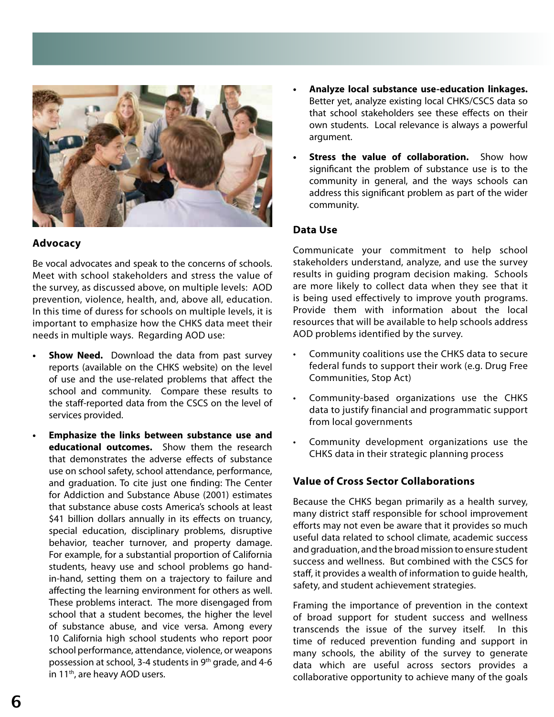

#### **Advocacy**

Be vocal advocates and speak to the concerns of schools. Meet with school stakeholders and stress the value of the survey, as discussed above, on multiple levels: AOD prevention, violence, health, and, above all, education. In this time of duress for schools on multiple levels, it is important to emphasize how the CHKS data meet their needs in multiple ways. Regarding AOD use:

- **• Show Need.** Download the data from past survey reports (available on the CHKS website) on the level of use and the use-related problems that affect the school and community. Compare these results to the staff-reported data from the CSCS on the level of services provided.
- **• Emphasize the links between substance use and educational outcomes.** Show them the research that demonstrates the adverse effects of substance use on school safety, school attendance, performance, and graduation. To cite just one finding: The Center for Addiction and Substance Abuse (2001) estimates that substance abuse costs America's schools at least \$41 billion dollars annually in its effects on truancy, special education, disciplinary problems, disruptive behavior, teacher turnover, and property damage. For example, for a substantial proportion of California students, heavy use and school problems go handin-hand, setting them on a trajectory to failure and affecting the learning environment for others as well. These problems interact. The more disengaged from school that a student becomes, the higher the level of substance abuse, and vice versa. Among every 10 California high school students who report poor school performance, attendance, violence, or weapons possession at school, 3-4 students in 9<sup>th</sup> grade, and 4-6 in 11<sup>th</sup>, are heavy AOD users.
- **• Analyze local substance use-education linkages.**  Better yet, analyze existing local CHKS/CSCS data so that school stakeholders see these effects on their own students. Local relevance is always a powerful argument.
- **Stress the value of collaboration.** Show how significant the problem of substance use is to the community in general, and the ways schools can address this significant problem as part of the wider community.

#### **Data Use**

Communicate your commitment to help school stakeholders understand, analyze, and use the survey results in guiding program decision making. Schools are more likely to collect data when they see that it is being used effectively to improve youth programs. Provide them with information about the local resources that will be available to help schools address AOD problems identified by the survey.

- Community coalitions use the CHKS data to secure federal funds to support their work (e.g. Drug Free Communities, Stop Act)
- Community-based organizations use the CHKS data to justify financial and programmatic support from local governments
- Community development organizations use the CHKS data in their strategic planning process

#### **Value of Cross Sector Collaborations**

Because the CHKS began primarily as a health survey, many district staff responsible for school improvement efforts may not even be aware that it provides so much useful data related to school climate, academic success and graduation, and the broad mission to ensure student success and wellness. But combined with the CSCS for staff, it provides a wealth of information to guide health, safety, and student achievement strategies.

Framing the importance of prevention in the context of broad support for student success and wellness transcends the issue of the survey itself. In this time of reduced prevention funding and support in many schools, the ability of the survey to generate data which are useful across sectors provides a collaborative opportunity to achieve many of the goals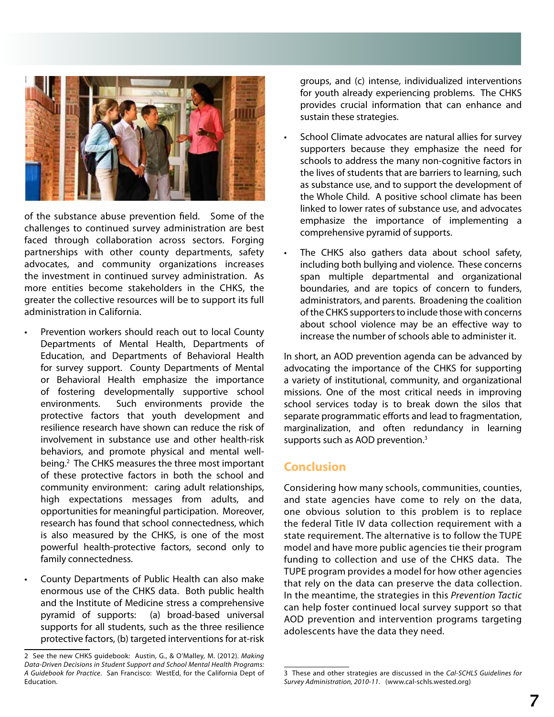

of the substance abuse prevention field. Some of the challenges to continued survey administration are best faced through collaboration across sectors. Forging partnerships with other county departments, safety advocates, and community organizations increases the investment in continued survey administration. As more entities become stakeholders in the CHKS, the greater the collective resources will be to support its full administration in California.

- Prevention workers should reach out to local County Departments of Mental Health, Departments of Education, and Departments of Behavioral Health for survey support. County Departments of Mental or Behavioral Health emphasize the importance of fostering developmentally supportive school environments. Such environments provide the protective factors that youth development and resilience research have shown can reduce the risk of involvement in substance use and other health-risk behaviors, and promote physical and mental wellbeing.2 The CHKS measures the three most important of these protective factors in both the school and community environment: caring adult relationships, high expectations messages from adults, and opportunities for meaningful participation. Moreover, research has found that school connectedness, which is also measured by the CHKS, is one of the most powerful health-protective factors, second only to family connectedness.
- County Departments of Public Health can also make enormous use of the CHKS data. Both public health and the Institute of Medicine stress a comprehensive pyramid of supports: (a) broad-based universal supports for all students, such as the three resilience protective factors, (b) targeted interventions for at-risk

groups, and (c) intense, individualized interventions for youth already experiencing problems. The CHKS provides crucial information that can enhance and sustain these strategies.

- School Climate advocates are natural allies for survey supporters because they emphasize the need for schools to address the many non-cognitive factors in the lives of students that are barriers to learning, such as substance use, and to support the development of the Whole Child. A positive school climate has been linked to lower rates of substance use, and advocates emphasize the importance of implementing a comprehensive pyramid of supports.
- The CHKS also gathers data about school safety, including both bullying and violence. These concerns span multiple departmental and organizational boundaries, and are topics of concern to funders, administrators, and parents. Broadening the coalition of the CHKS supporters to include those with concerns about school violence may be an effective way to increase the number of schools able to administer it.

In short, an AOD prevention agenda can be advanced by advocating the importance of the CHKS for supporting a variety of institutional, community, and organizational missions. One of the most critical needs in improving school services today is to break down the silos that separate programmatic efforts and lead to fragmentation, marginalization, and often redundancy in learning supports such as AOD prevention.<sup>3</sup>

#### **Conclusion**

Considering how many schools, communities, counties, and state agencies have come to rely on the data, one obvious solution to this problem is to replace the federal Title IV data collection requirement with a state requirement. The alternative is to follow the TUPE model and have more public agencies tie their program funding to collection and use of the CHKS data. The TUPE program provides a model for how other agencies that rely on the data can preserve the data collection. In the meantime, the strategies in this *Prevention Tactic*  can help foster continued local survey support so that AOD prevention and intervention programs targeting adolescents have the data they need.

<sup>2</sup> See the new CHKS guidebook: Austin, G., & O'Malley, M. (2012). *Making Data-Driven Decisions in Student Support and School Mental Health Programs: A Guidebook for Practice*. San Francisco: WestEd, for the California Dept of Education.

<sup>3</sup> These and other strategies are discussed in the *Cal-SCHLS Guidelines for Survey Administration, 2010-11*. (www.cal-schls.wested.org)